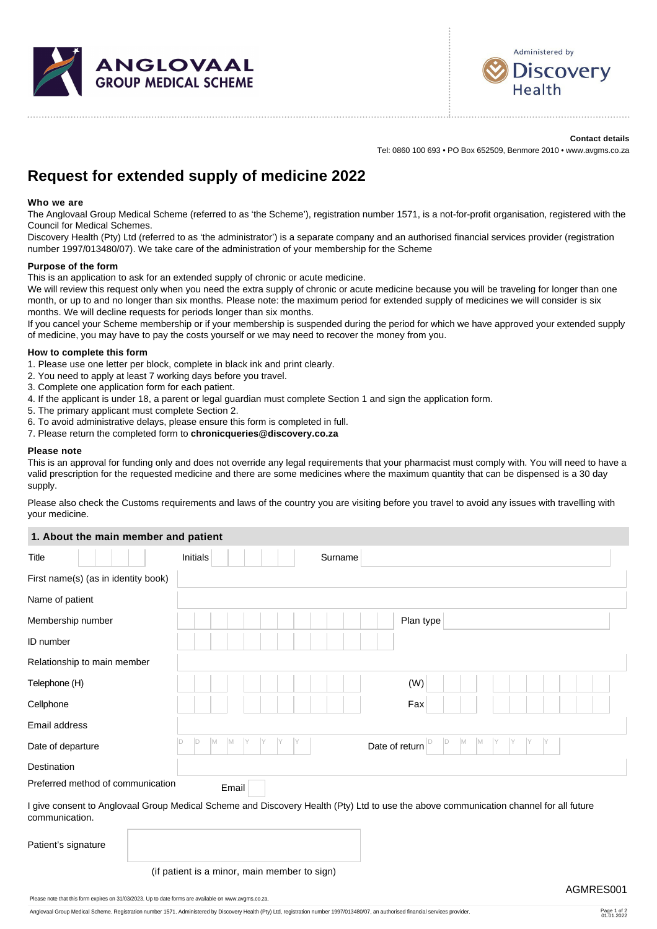



# **Contact details**

Tel: 0860 100 693 • PO Box 652509, Benmore 2010 • www.avgms.co.za

# **Request for extended supply of medicine 2022**

#### **Who we are**

The Anglovaal Group Medical Scheme (referred to as 'the Scheme'), registration number 1571, is a not-for-profit organisation, registered with the Council for Medical Schemes.

Discovery Health (Pty) Ltd (referred to as 'the administrator') is a separate company and an authorised financial services provider (registration number 1997/013480/07). We take care of the administration of your membership for the Scheme

#### **Purpose of the form**

This is an application to ask for an extended supply of chronic or acute medicine.

We will review this request only when you need the extra supply of chronic or acute medicine because you will be traveling for longer than one month, or up to and no longer than six months. Please note: the maximum period for extended supply of medicines we will consider is six months. We will decline requests for periods longer than six months.

If you cancel your Scheme membership or if your membership is suspended during the period for which we have approved your extended supply of medicine, you may have to pay the costs yourself or we may need to recover the money from you.

#### **How to complete this form**

- 1. Please use one letter per block, complete in black ink and print clearly.
- 2. You need to apply at least 7 working days before you travel.
- 3. Complete one application form for each patient.
- 4. If the applicant is under 18, a parent or legal guardian must complete Section 1 and sign the application form.
- 5. The primary applicant must complete Section 2.
- 6. To avoid administrative delays, please ensure this form is completed in full.
- 7. Please return the completed form to **[chronicqueries@discovery.co.za](mailto:chronicqueries@discovery.co.za)**

#### **Please note**

This is an approval for funding only and does not override any legal requirements that your pharmacist must comply with. You will need to have a valid prescription for the requested medicine and there are some medicines where the maximum quantity that can be dispensed is a 30 day supply.

Please also check the Customs requirements and laws of the country you are visiting before you travel to avoid any issues with travelling with your medicine.

### **1. About the main member and patient**

| <b><i>I</i></b> About the main member and patient |                                                                                                                                       |
|---------------------------------------------------|---------------------------------------------------------------------------------------------------------------------------------------|
| <b>Title</b>                                      | Initials<br>Surname                                                                                                                   |
| First name(s) (as in identity book)               |                                                                                                                                       |
| Name of patient                                   |                                                                                                                                       |
| Membership number                                 | Plan type                                                                                                                             |
| ID number                                         |                                                                                                                                       |
| Relationship to main member                       |                                                                                                                                       |
| Telephone (H)                                     | (W)                                                                                                                                   |
| Cellphone                                         | Fax                                                                                                                                   |
| Email address                                     |                                                                                                                                       |
| Date of departure                                 | ID<br>M<br>M<br>M<br>Y<br>M<br>Date of return                                                                                         |
| Destination                                       |                                                                                                                                       |
| Preferred method of communication                 | Email                                                                                                                                 |
| communication.                                    | I give consent to Anglovaal Group Medical Scheme and Discovery Health (Pty) Ltd to use the above communication channel for all future |
| Patient's signature                               |                                                                                                                                       |
|                                                   | (if patient is a minor, main member to sign)                                                                                          |
|                                                   | AGMRES001<br>Please note that this form expires on 31/03/2023. Up to date forms are available on www.avgms.co.za.                     |
|                                                   |                                                                                                                                       |